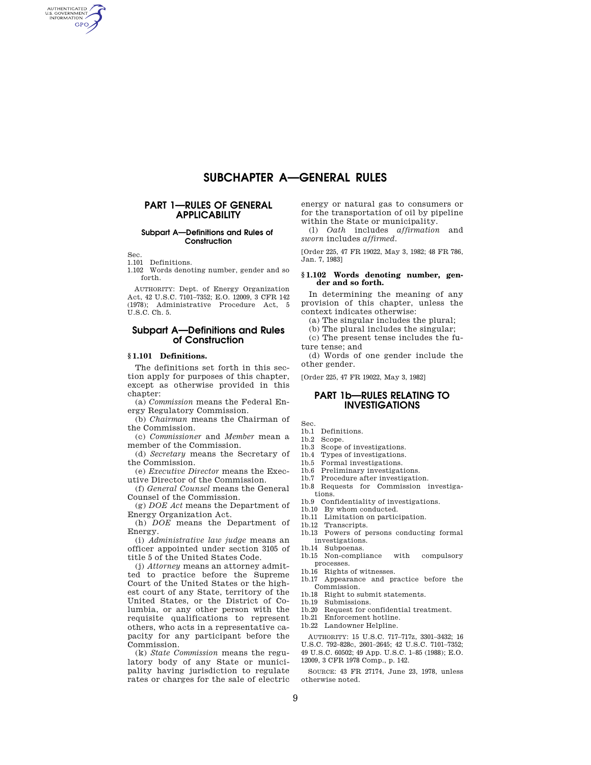# **SUBCHAPTER A—GENERAL RULES**

# **PART 1—RULES OF GENERAL APPLICABILITY**

# **Subpart A—Definitions and Rules of Construction**

Sec.

AUTHENTICATED<br>U.S. GOVERNMENT<br>INFORMATION **GPO** 

1.101 Definitions.

1.102 Words denoting number, gender and so forth.

AUTHORITY: Dept. of Energy Organization Act, 42 U.S.C. 7101–7352; E.O. 12009, 3 CFR 142 (1978); Administrative Procedure Act, 5 U.S.C. Ch. 5.

# **Subpart A—Definitions and Rules of Construction**

# **§ 1.101 Definitions.**

The definitions set forth in this section apply for purposes of this chapter, except as otherwise provided in this chapter:

(a) *Commission* means the Federal Energy Regulatory Commission.

(b) *Chairman* means the Chairman of the Commission.

(c) *Commissioner* and *Member* mean a member of the Commission.

(d) *Secretary* means the Secretary of the Commission.

(e) *Executive Director* means the Executive Director of the Commission.

(f) *General Counsel* means the General Counsel of the Commission.

(g) *DOE Act* means the Department of Energy Organization Act.

(h) *DOE* means the Department of Energy.

(i) *Administrative law judge* means an officer appointed under section 3105 of title 5 of the United States Code.

(j) *Attorney* means an attorney admitted to practice before the Supreme Court of the United States or the highest court of any State, territory of the United States, or the District of Columbia, or any other person with the requisite qualifications to represent others, who acts in a representative capacity for any participant before the Commission.

(k) *State Commission* means the regulatory body of any State or municipality having jurisdiction to regulate rates or charges for the sale of electric energy or natural gas to consumers or for the transportation of oil by pipeline within the State or municipality.

(l) *Oath* includes *affirmation* and *sworn* includes *affirmed.* 

[Order 225, 47 FR 19022, May 3, 1982; 48 FR 786, Jan. 7, 1983]

#### **§ 1.102 Words denoting number, gender and so forth.**

In determining the meaning of any provision of this chapter, unless the context indicates otherwise:

(a) The singular includes the plural;

(b) The plural includes the singular;

(c) The present tense includes the future tense; and

(d) Words of one gender include the other gender.

[Order 225, 47 FR 19022, May 3, 1982]

# **PART 1b—RULES RELATING TO INVESTIGATIONS**

Sec.

# 1b.1 Definitions.

- 1b.2 Scope.
- 1b.3 Scope of investigations.
- 1b.4 Types of investigations.
- 1b.5 Formal investigations.
- 1b.6 Preliminary investigations.
- 1b.7 Procedure after investigation.
- 1b.8 Requests for Commission investigations.
- 1b.9 Confidentiality of investigations.
	- 1b.10 By whom conducted.
	- 1b.11 Limitation on participation.
	- 1b.12 Transcripts.
- 1b.13 Powers of persons conducting formal investigations.
- 1b.14 Subpoenas.
- 1b.15 Non-compliance with compulsory processes.
- 1b.16 Rights of witnesses.
- 1b.17 Appearance and practice before the Commission.
- 1b.18 Right to submit statements.
- 1b.19 Submissions. 1b.20 Request for confidential treatment.
- 1b.21 Enforcement hotline.
- 1b.22 Landowner Helpline.
- 

AUTHORITY: 15 U.S.C. 717–717z, 3301–3432; 16 U.S.C. 792–828c, 2601–2645; 42 U.S.C. 7101–7352; 49 U.S.C. 60502; 49 App. U.S.C. 1–85 (1988); E.O. 12009, 3 CFR 1978 Comp., p. 142.

SOURCE: 43 FR 27174, June 23, 1978, unless otherwise noted.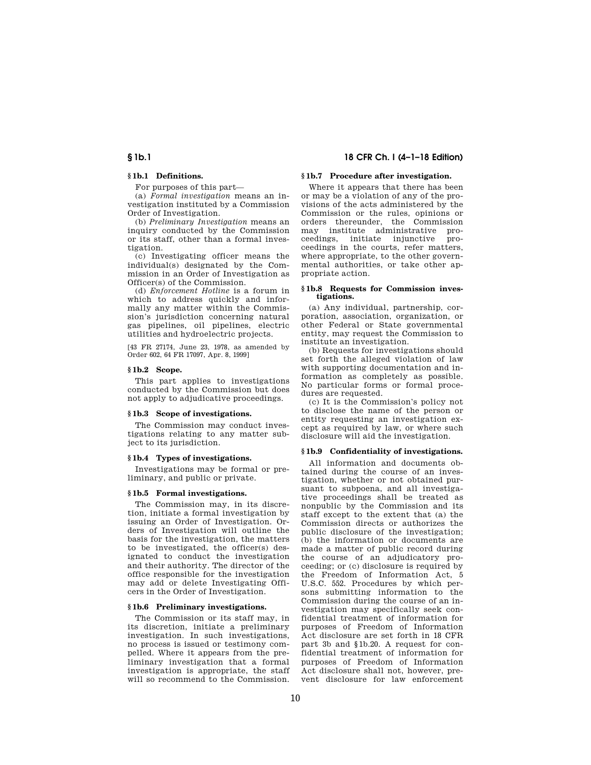# **§ 1b.1 18 CFR Ch. I (4–1–18 Edition)**

# **§ 1b.1 Definitions.**

For purposes of this part—

(a) *Formal investigation* means an investigation instituted by a Commission Order of Investigation.

(b) *Preliminary Investigation* means an inquiry conducted by the Commission or its staff, other than a formal investigation.

(c) Investigating officer means the individual(s) designated by the Commission in an Order of Investigation as Officer(s) of the Commission.

(d) *Enforcement Hotline* is a forum in which to address quickly and informally any matter within the Commission's jurisdiction concerning natural gas pipelines, oil pipelines, electric utilities and hydroelectric projects.

[43 FR 27174, June 23, 1978, as amended by Order 602, 64 FR 17097, Apr. 8, 1999]

# **§ 1b.2 Scope.**

This part applies to investigations conducted by the Commission but does not apply to adjudicative proceedings.

### **§ 1b.3 Scope of investigations.**

The Commission may conduct investigations relating to any matter subject to its jurisdiction.

#### **§ 1b.4 Types of investigations.**

Investigations may be formal or preliminary, and public or private.

#### **§ 1b.5 Formal investigations.**

The Commission may, in its discretion, initiate a formal investigation by issuing an Order of Investigation. Orders of Investigation will outline the basis for the investigation, the matters to be investigated, the officer(s) designated to conduct the investigation and their authority. The director of the office responsible for the investigation may add or delete Investigating Officers in the Order of Investigation.

# **§ 1b.6 Preliminary investigations.**

The Commission or its staff may, in its discretion, initiate a preliminary investigation. In such investigations, no process is issued or testimony compelled. Where it appears from the preliminary investigation that a formal investigation is appropriate, the staff will so recommend to the Commission.

# **§ 1b.7 Procedure after investigation.**

Where it appears that there has been or may be a violation of any of the provisions of the acts administered by the Commission or the rules, opinions or orders thereunder, the Commission may institute administrative proceedings, initiate injunctive proceedings in the courts, refer matters, where appropriate, to the other governmental authorities, or take other appropriate action.

#### **§ 1b.8 Requests for Commission investigations.**

(a) Any individual, partnership, corporation, association, organization, or other Federal or State governmental entity, may request the Commission to institute an investigation.

(b) Requests for investigations should set forth the alleged violation of law with supporting documentation and information as completely as possible. No particular forms or formal procedures are requested.

(c) It is the Commission's policy not to disclose the name of the person or entity requesting an investigation except as required by law, or where such disclosure will aid the investigation.

## **§ 1b.9 Confidentiality of investigations.**

All information and documents obtained during the course of an investigation, whether or not obtained pursuant to subpoena, and all investigative proceedings shall be treated as nonpublic by the Commission and its staff except to the extent that (a) the Commission directs or authorizes the public disclosure of the investigation; (b) the information or documents are made a matter of public record during the course of an adjudicatory proceeding; or (c) disclosure is required by the Freedom of Information Act, 5 U.S.C. 552. Procedures by which persons submitting information to the Commission during the course of an investigation may specifically seek confidential treatment of information for purposes of Freedom of Information Act disclosure are set forth in 18 CFR part 3b and §1b.20. A request for confidential treatment of information for purposes of Freedom of Information Act disclosure shall not, however, prevent disclosure for law enforcement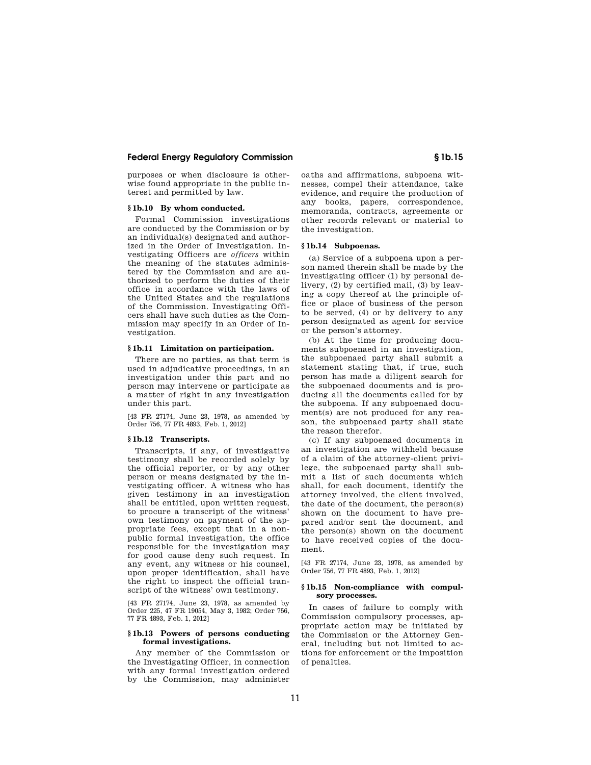# **Federal Energy Regulatory Commission § 1b.15**

purposes or when disclosure is otherwise found appropriate in the public interest and permitted by law.

#### **§ 1b.10 By whom conducted.**

Formal Commission investigations are conducted by the Commission or by an individual(s) designated and authorized in the Order of Investigation. Investigating Officers are *officers* within the meaning of the statutes administered by the Commission and are authorized to perform the duties of their office in accordance with the laws of the United States and the regulations of the Commission. Investigating Officers shall have such duties as the Commission may specify in an Order of Investigation.

## **§ 1b.11 Limitation on participation.**

There are no parties, as that term is used in adjudicative proceedings, in an investigation under this part and no person may intervene or participate as a matter of right in any investigation under this part.

[43 FR 27174, June 23, 1978, as amended by Order 756, 77 FR 4893, Feb. 1, 2012]

# **§ 1b.12 Transcripts.**

Transcripts, if any, of investigative testimony shall be recorded solely by the official reporter, or by any other person or means designated by the investigating officer. A witness who has given testimony in an investigation shall be entitled, upon written request, to procure a transcript of the witness' own testimony on payment of the appropriate fees, except that in a nonpublic formal investigation, the office responsible for the investigation may for good cause deny such request. In any event, any witness or his counsel, upon proper identification, shall have the right to inspect the official transcript of the witness' own testimony.

[43 FR 27174, June 23, 1978, as amended by Order 225, 47 FR 19054, May 3, 1982; Order 756, 77 FR 4893, Feb. 1, 2012]

#### **§ 1b.13 Powers of persons conducting formal investigations.**

Any member of the Commission or the Investigating Officer, in connection with any formal investigation ordered by the Commission, may administer

oaths and affirmations, subpoena witnesses, compel their attendance, take evidence, and require the production of any books, papers, correspondence, memoranda, contracts, agreements or other records relevant or material to the investigation.

#### **§ 1b.14 Subpoenas.**

(a) Service of a subpoena upon a person named therein shall be made by the investigating officer (1) by personal delivery, (2) by certified mail, (3) by leaving a copy thereof at the principle office or place of business of the person to be served, (4) or by delivery to any person designated as agent for service or the person's attorney.

(b) At the time for producing documents subpoenaed in an investigation, the subpoenaed party shall submit a statement stating that, if true, such person has made a diligent search for the subpoenaed documents and is producing all the documents called for by the subpoena. If any subpoenaed document(s) are not produced for any reason, the subpoenaed party shall state the reason therefor.

(c) If any subpoenaed documents in an investigation are withheld because of a claim of the attorney-client privilege, the subpoenaed party shall submit a list of such documents which shall, for each document, identify the attorney involved, the client involved, the date of the document, the person(s) shown on the document to have prepared and/or sent the document, and the person(s) shown on the document to have received copies of the document.

[43 FR 27174, June 23, 1978, as amended by Order 756, 77 FR 4893, Feb. 1, 2012]

## **§ 1b.15 Non-compliance with compulsory processes.**

In cases of failure to comply with Commission compulsory processes, appropriate action may be initiated by the Commission or the Attorney General, including but not limited to actions for enforcement or the imposition of penalties.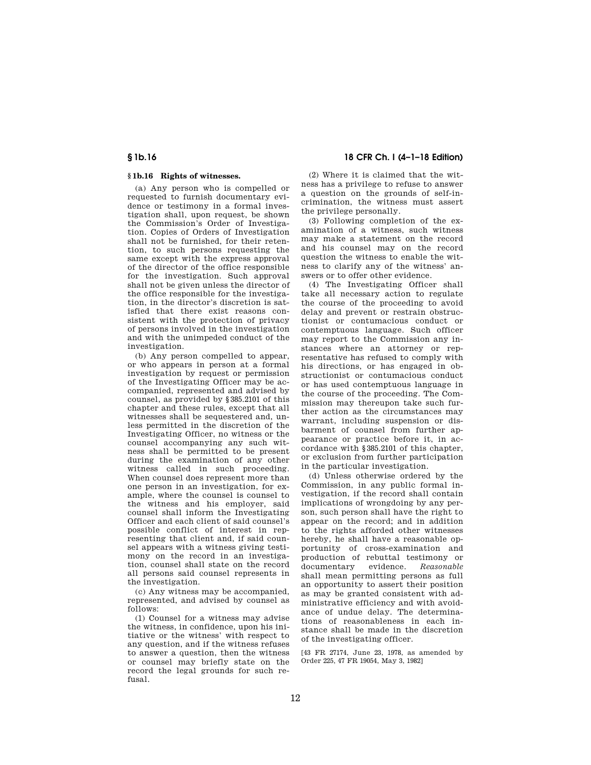# **§ 1b.16 18 CFR Ch. I (4–1–18 Edition)**

# **§ 1b.16 Rights of witnesses.**

(a) Any person who is compelled or requested to furnish documentary evidence or testimony in a formal investigation shall, upon request, be shown the Commission's Order of Investigation. Copies of Orders of Investigation shall not be furnished, for their retention, to such persons requesting the same except with the express approval of the director of the office responsible for the investigation. Such approval shall not be given unless the director of the office responsible for the investigation, in the director's discretion is satisfied that there exist reasons consistent with the protection of privacy of persons involved in the investigation and with the unimpeded conduct of the investigation.

(b) Any person compelled to appear, or who appears in person at a formal investigation by request or permission of the Investigating Officer may be accompanied, represented and advised by counsel, as provided by §385.2101 of this chapter and these rules, except that all witnesses shall be sequestered and, unless permitted in the discretion of the Investigating Officer, no witness or the counsel accompanying any such witness shall be permitted to be present during the examination of any other witness called in such proceeding. When counsel does represent more than one person in an investigation, for example, where the counsel is counsel to the witness and his employer, said counsel shall inform the Investigating Officer and each client of said counsel's possible conflict of interest in representing that client and, if said counsel appears with a witness giving testimony on the record in an investigation, counsel shall state on the record all persons said counsel represents in the investigation.

(c) Any witness may be accompanied, represented, and advised by counsel as follows:

(1) Counsel for a witness may advise the witness, in confidence, upon his initiative or the witness' with respect to any question, and if the witness refuses to answer a question, then the witness or counsel may briefly state on the record the legal grounds for such refusal.

(2) Where it is claimed that the witness has a privilege to refuse to answer a question on the grounds of self-incrimination, the witness must assert the privilege personally.

(3) Following completion of the examination of a witness, such witness may make a statement on the record and his counsel may on the record question the witness to enable the witness to clarify any of the witness' answers or to offer other evidence.

(4) The Investigating Officer shall take all necessary action to regulate the course of the proceeding to avoid delay and prevent or restrain obstructionist or contumacious conduct or contemptuous language. Such officer may report to the Commission any instances where an attorney or representative has refused to comply with his directions, or has engaged in obstructionist or contumacious conduct or has used contemptuous language in the course of the proceeding. The Commission may thereupon take such further action as the circumstances may warrant, including suspension or disbarment of counsel from further appearance or practice before it, in accordance with §385.2101 of this chapter, or exclusion from further participation in the particular investigation.

(d) Unless otherwise ordered by the Commission, in any public formal investigation, if the record shall contain implications of wrongdoing by any person, such person shall have the right to appear on the record; and in addition to the rights afforded other witnesses hereby, he shall have a reasonable opportunity of cross-examination and production of rebuttal testimony or documentary evidence. *Reasonable*  shall mean permitting persons as full an opportunity to assert their position as may be granted consistent with administrative efficiency and with avoidance of undue delay. The determinations of reasonableness in each instance shall be made in the discretion of the investigating officer.

[43 FR 27174, June 23, 1978, as amended by Order 225, 47 FR 19054, May 3, 1982]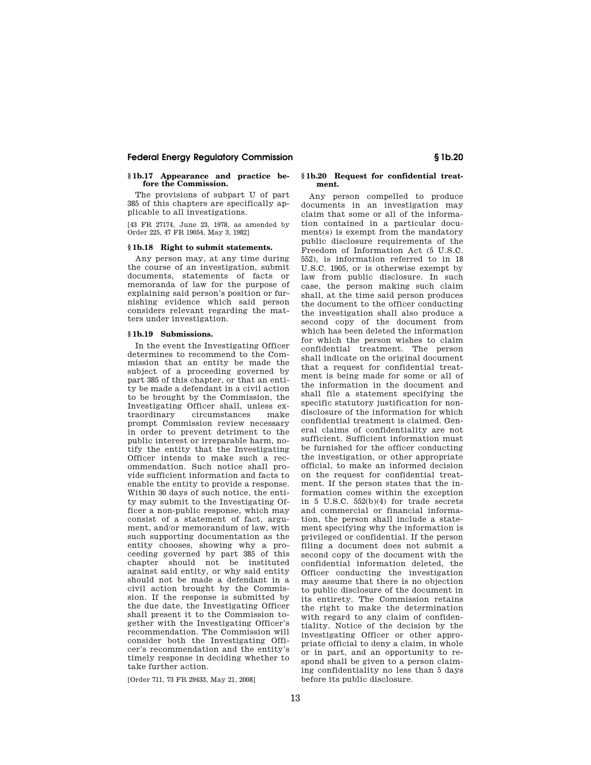# **Federal Energy Regulatory Commission § 1b.20**

# **§ 1b.17 Appearance and practice before the Commission.**

The provisions of subpart U of part 385 of this chapters are specifically applicable to all investigations.

[43 FR 27174, June 23, 1978, as amended by Order 225, 47 FR 19054, May 3, 1982]

#### **§ 1b.18 Right to submit statements.**

Any person may, at any time during the course of an investigation, submit documents, statements of facts or memoranda of law for the purpose of explaining said person's position or furnishing evidence which said person considers relevant regarding the matters under investigation.

## **§ 1b.19 Submissions.**

In the event the Investigating Officer determines to recommend to the Commission that an entity be made the subject of a proceeding governed by part 385 of this chapter, or that an entity be made a defendant in a civil action to be brought by the Commission, the Investigating Officer shall, unless extraordinary circumstances make prompt Commission review necessary in order to prevent detriment to the public interest or irreparable harm, notify the entity that the Investigating Officer intends to make such a recommendation. Such notice shall provide sufficient information and facts to enable the entity to provide a response. Within 30 days of such notice, the entity may submit to the Investigating Officer a non-public response, which may consist of a statement of fact, argument, and/or memorandum of law, with such supporting documentation as the entity chooses, showing why a proceeding governed by part 385 of this chapter should not be instituted against said entity, or why said entity should not be made a defendant in a civil action brought by the Commission. If the response is submitted by the due date, the Investigating Officer shall present it to the Commission together with the Investigating Officer's recommendation. The Commission will consider both the Investigating Officer's recommendation and the entity's timely response in deciding whether to take further action.

[Order 711, 73 FR 29433, May 21, 2008]

# **§ 1b.20 Request for confidential treatment.**

Any person compelled to produce documents in an investigation may claim that some or all of the information contained in a particular document(s) is exempt from the mandatory public disclosure requirements of the Freedom of Information Act (5 U.S.C. 552), is information referred to in 18 U.S.C. 1905, or is otherwise exempt by law from public disclosure. In such case, the person making such claim shall, at the time said person produces the document to the officer conducting the investigation shall also produce a second copy of the document from which has been deleted the information for which the person wishes to claim confidential treatment. The person shall indicate on the original document that a request for confidential treatment is being made for some or all of the information in the document and shall file a statement specifying the specific statutory justification for nondisclosure of the information for which confidential treatment is claimed. General claims of confidentiality are not sufficient. Sufficient information must be furnished for the officer conducting the investigation, or other appropriate official, to make an informed decision on the request for confidential treatment. If the person states that the information comes within the exception in 5 U.S.C. 552(b)(4) for trade secrets and commercial or financial information, the person shall include a statement specifying why the information is privileged or confidential. If the person filing a document does not submit a second copy of the document with the confidential information deleted, the Officer conducting the investigation may assume that there is no objection to public disclosure of the document in its entirety. The Commission retains the right to make the determination with regard to any claim of confidentiality. Notice of the decision by the investigating Officer or other appropriate official to deny a claim, in whole or in part, and an opportunity to respond shall be given to a person claiming confidentiality no less than 5 days before its public disclosure.